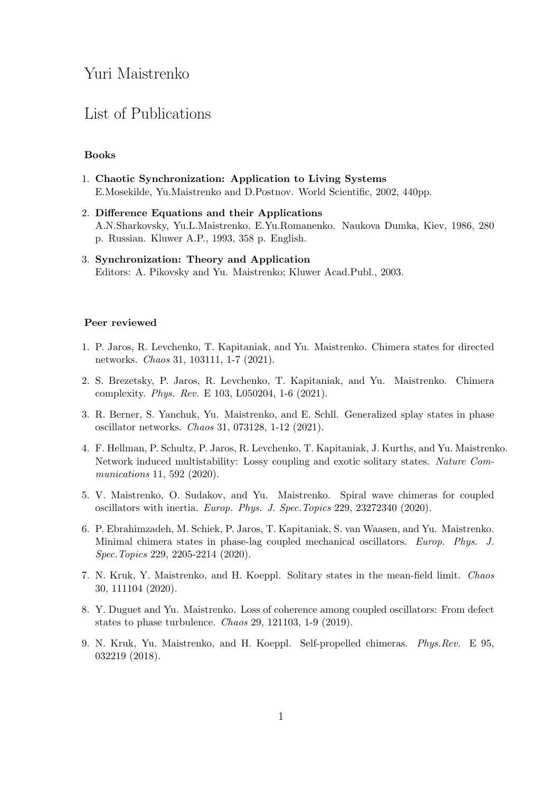# Yuri Maistrenko

## List of Publications

### Books

- 1. Chaotic Synchronization: Application to Living Systems E.Mosekilde, Yu.Maistrenko and D.Postnov. World Scientific, 2002, 440pp.
- 2. Difference Equations and their Applications A.N.Sharkovsky, Yu.L.Maistrenko, E.Yu.Romanenko. Naukova Dumka, Kiev, 1986, 280 p. Russian. Kluwer A.P., 1993, 358 p. English.
- 3. Synchronization: Theory and Application Editors: A. Pikovsky and Yu. Maistrenko; Kluwer Acad.Publ., 2003.

#### Peer reviewed

- 1. P. Jaros, R. Levchenko, T. Kapitaniak, and Yu. Maistrenko. Chimera states for directed networks. Chaos 31, 103111, 1-7 (2021).
- 2. S. Brezetsky, P. Jaros, R. Levchenko, T. Kapitaniak, and Yu. Maistrenko. Chimera complexity. Phys. Rev. E 103, L050204, 1-6 (2021).
- 3. R. Berner, S. Yanchuk, Yu. Maistrenko, and E. Schll. Generalized splay states in phase oscillator networks. Chaos 31, 073128, 1-12 (2021).
- 4. F. Hellman, P. Schultz, P. Jaros, R. Levchenko, T. Kapitaniak, J. Kurths, and Yu. Maistrenko. Network induced multistability: Lossy coupling and exotic solitary states. Nature Communications 11, 592 (2020).
- 5. V. Maistrenko, O. Sudakov, and Yu. Maistrenko. Spiral wave chimeras for coupled oscillators with inertia. Europ. Phys. J. Spec.Topics 229, 23272340 (2020).
- 6. P. Ebrahimzadeh, M. Schiek, P. Jaros, T. Kapitaniak, S. van Waasen, and Yu. Maistrenko. Minimal chimera states in phase-lag coupled mechanical oscillators. Europ. Phys. J. Spec.Topics 229, 2205-2214 (2020).
- 7. N. Kruk, Y. Maistrenko, and H. Koeppl. Solitary states in the mean-field limit. Chaos 30, 111104 (2020).
- 8. Y. Duguet and Yu. Maistrenko. Loss of coherence among coupled oscillators: From defect states to phase turbulence. Chaos 29, 121103, 1-9 (2019).
- 9. N. Kruk, Yu. Maistrenko, and H. Koeppl. Self-propelled chimeras. Phys.Rev. E 95, 032219 (2018).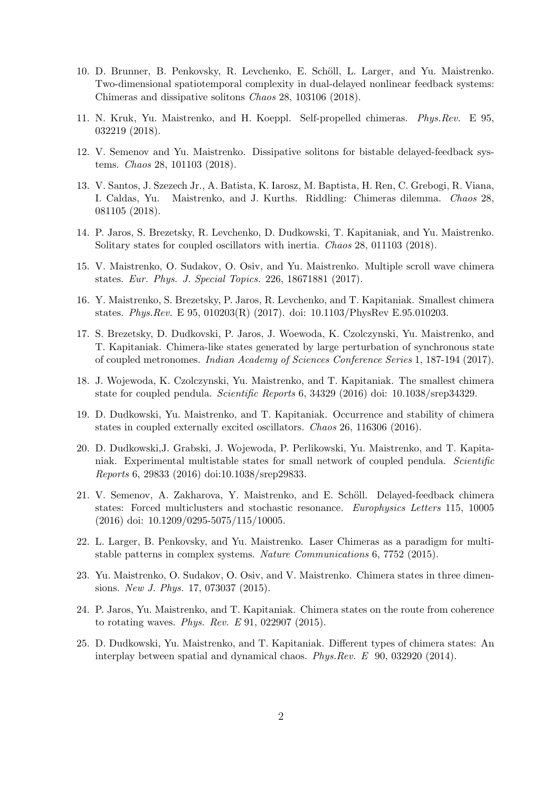- 10. D. Brunner, B. Penkovsky, R. Levchenko, E. Schöll, L. Larger, and Yu. Maistrenko. Two-dimensional spatiotemporal complexity in dual-delayed nonlinear feedback systems: Chimeras and dissipative solitons Chaos 28, 103106 (2018).
- 11. N. Kruk, Yu. Maistrenko, and H. Koeppl. Self-propelled chimeras. Phys.Rev. E 95, 032219 (2018).
- 12. V. Semenov and Yu. Maistrenko. Dissipative solitons for bistable delayed-feedback systems. Chaos 28, 101103 (2018).
- 13. V. Santos, J. Szezech Jr., A. Batista, K. Iarosz, M. Baptista, H. Ren, C. Grebogi, R. Viana, I. Caldas, Yu. Maistrenko, and J. Kurths. Riddling: Chimeras dilemma. Chaos 28, 081105 (2018).
- 14. P. Jaros, S. Brezetsky, R. Levchenko, D. Dudkowski, T. Kapitaniak, and Yu. Maistrenko. Solitary states for coupled oscillators with inertia. *Chaos* 28, 011103 (2018).
- 15. V. Maistrenko, O. Sudakov, O. Osiv, and Yu. Maistrenko. Multiple scroll wave chimera states. Eur. Phys. J. Special Topics. 226, 18671881 (2017).
- 16. Y. Maistrenko, S. Brezetsky, P. Jaros, R. Levchenko, and T. Kapitaniak. Smallest chimera states. Phys.Rev. E 95, 010203(R) (2017). doi: 10.1103/PhysRev E.95.010203.
- 17. S. Brezetsky, D. Dudkovski, P. Jaros, J. Woewoda, K. Czolczynski, Yu. Maistrenko, and T. Kapitaniak. Chimera-like states generated by large perturbation of synchronous state of coupled metronomes. Indian Academy of Sciences Conference Series 1, 187-194 (2017).
- 18. J. Wojewoda, K. Czolczynski, Yu. Maistrenko, and T. Kapitaniak. The smallest chimera state for coupled pendula. Scientific Reports 6, 34329 (2016) doi: 10.1038/srep34329.
- 19. D. Dudkowski, Yu. Maistrenko, and T. Kapitaniak. Occurrence and stability of chimera states in coupled externally excited oscillators. Chaos 26, 116306 (2016).
- 20. D. Dudkowski,J. Grabski, J. Wojewoda, P. Perlikowski, Yu. Maistrenko, and T. Kapitaniak. Experimental multistable states for small network of coupled pendula. Scientific Reports 6, 29833 (2016) doi:10.1038/srep29833.
- 21. V. Semenov, A. Zakharova, Y. Maistrenko, and E. Schöll. Delayed-feedback chimera states: Forced multiclusters and stochastic resonance. Europhysics Letters 115, 10005 (2016) doi: 10.1209/0295-5075/115/10005.
- 22. L. Larger, B. Penkovsky, and Yu. Maistrenko. Laser Chimeras as a paradigm for multistable patterns in complex systems. Nature Communications 6, 7752 (2015).
- 23. Yu. Maistrenko, O. Sudakov, O. Osiv, and V. Maistrenko. Chimera states in three dimensions. New J. Phys. 17, 073037 (2015).
- 24. P. Jaros, Yu. Maistrenko, and T. Kapitaniak. Chimera states on the route from coherence to rotating waves. *Phys. Rev. E* 91, 022907 (2015).
- 25. D. Dudkowski, Yu. Maistrenko, and T. Kapitaniak. Different types of chimera states: An interplay between spatial and dynamical chaos. Phys.Rev. E 90, 032920 (2014).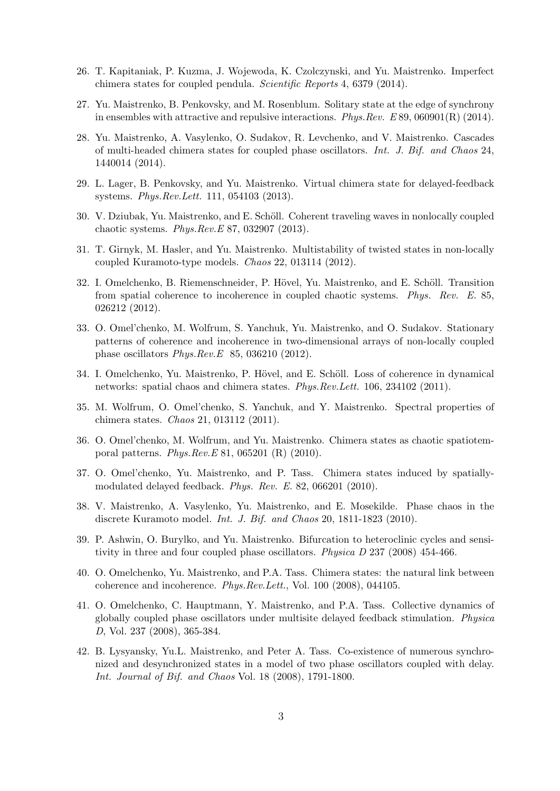- 26. T. Kapitaniak, P. Kuzma, J. Wojewoda, K. Czolczynski, and Yu. Maistrenko. Imperfect chimera states for coupled pendula. Scientific Reports 4, 6379 (2014).
- 27. Yu. Maistrenko, B. Penkovsky, and M. Rosenblum. Solitary state at the edge of synchrony in ensembles with attractive and repulsive interactions. Phys.Rev. E 89, 060901(R) (2014).
- 28. Yu. Maistrenko, A. Vasylenko, O. Sudakov, R. Levchenko, and V. Maistrenko. Cascades of multi-headed chimera states for coupled phase oscillators. Int. J. Bif. and Chaos 24, 1440014 (2014).
- 29. L. Lager, B. Penkovsky, and Yu. Maistrenko. Virtual chimera state for delayed-feedback systems. Phys.Rev.Lett. 111, 054103 (2013).
- 30. V. Dziubak, Yu. Maistrenko, and E. Schöll. Coherent traveling waves in nonlocally coupled chaotic systems. Phys.Rev.E 87, 032907 (2013).
- 31. T. Girnyk, M. Hasler, and Yu. Maistrenko. Multistability of twisted states in non-locally coupled Kuramoto-type models. Chaos 22, 013114 (2012).
- 32. I. Omelchenko, B. Riemenschneider, P. Hövel, Yu. Maistrenko, and E. Schöll. Transition from spatial coherence to incoherence in coupled chaotic systems. Phys. Rev. E. 85, 026212 (2012).
- 33. O. Omel'chenko, M. Wolfrum, S. Yanchuk, Yu. Maistrenko, and O. Sudakov. Stationary patterns of coherence and incoherence in two-dimensional arrays of non-locally coupled phase oscillators Phys.Rev.E 85, 036210 (2012).
- 34. I. Omelchenko, Yu. Maistrenko, P. Hövel, and E. Schöll. Loss of coherence in dynamical networks: spatial chaos and chimera states. Phys.Rev.Lett. 106, 234102 (2011).
- 35. M. Wolfrum, O. Omel'chenko, S. Yanchuk, and Y. Maistrenko. Spectral properties of chimera states. Chaos 21, 013112 (2011).
- 36. O. Omel'chenko, M. Wolfrum, and Yu. Maistrenko. Chimera states as chaotic spatiotemporal patterns. Phys.Rev.E 81, 065201 (R) (2010).
- 37. O. Omel'chenko, Yu. Maistrenko, and P. Tass. Chimera states induced by spatiallymodulated delayed feedback. Phys. Rev. E. 82, 066201 (2010).
- 38. V. Maistrenko, A. Vasylenko, Yu. Maistrenko, and E. Mosekilde. Phase chaos in the discrete Kuramoto model. *Int. J. Bif. and Chaos* 20, 1811-1823 (2010).
- 39. P. Ashwin, O. Burylko, and Yu. Maistrenko. Bifurcation to heteroclinic cycles and sensitivity in three and four coupled phase oscillators. Physica D 237 (2008) 454-466.
- 40. O. Omelchenko, Yu. Maistrenko, and P.A. Tass. Chimera states: the natural link between coherence and incoherence. Phys.Rev.Lett., Vol. 100 (2008), 044105.
- 41. O. Omelchenko, C. Hauptmann, Y. Maistrenko, and P.A. Tass. Collective dynamics of globally coupled phase oscillators under multisite delayed feedback stimulation. Physica D, Vol. 237 (2008), 365-384.
- 42. B. Lysyansky, Yu.L. Maistrenko, and Peter A. Tass. Co-existence of numerous synchronized and desynchronized states in a model of two phase oscillators coupled with delay. Int. Journal of Bif. and Chaos Vol. 18 (2008), 1791-1800.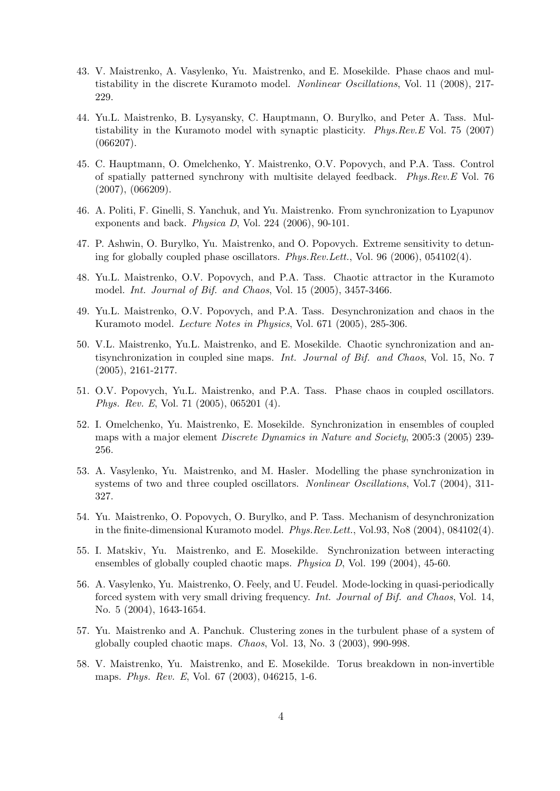- 43. V. Maistrenko, A. Vasylenko, Yu. Maistrenko, and E. Mosekilde. Phase chaos and multistability in the discrete Kuramoto model. *Nonlinear Oscillations*, Vol. 11 (2008), 217-229.
- 44. Yu.L. Maistrenko, B. Lysyansky, C. Hauptmann, O. Burylko, and Peter A. Tass. Multistability in the Kuramoto model with synaptic plasticity. Phys.Rev.E Vol. 75 (2007) (066207).
- 45. C. Hauptmann, O. Omelchenko, Y. Maistrenko, O.V. Popovych, and P.A. Tass. Control of spatially patterned synchrony with multisite delayed feedback. Phys.Rev.E Vol. 76 (2007), (066209).
- 46. A. Politi, F. Ginelli, S. Yanchuk, and Yu. Maistrenko. From synchronization to Lyapunov exponents and back. Physica D, Vol. 224 (2006), 90-101.
- 47. P. Ashwin, O. Burylko, Yu. Maistrenko, and O. Popovych. Extreme sensitivity to detuning for globally coupled phase oscillators. Phys.Rev.Lett., Vol. 96 (2006), 054102(4).
- 48. Yu.L. Maistrenko, O.V. Popovych, and P.A. Tass. Chaotic attractor in the Kuramoto model. Int. Journal of Bif. and Chaos, Vol. 15 (2005), 3457-3466.
- 49. Yu.L. Maistrenko, O.V. Popovych, and P.A. Tass. Desynchronization and chaos in the Kuramoto model. Lecture Notes in Physics, Vol. 671 (2005), 285-306.
- 50. V.L. Maistrenko, Yu.L. Maistrenko, and E. Mosekilde. Chaotic synchronization and antisynchronization in coupled sine maps. Int. Journal of Bif. and Chaos, Vol. 15, No. 7 (2005), 2161-2177.
- 51. O.V. Popovych, Yu.L. Maistrenko, and P.A. Tass. Phase chaos in coupled oscillators. Phys. Rev. E, Vol. 71 (2005), 065201 (4).
- 52. I. Omelchenko, Yu. Maistrenko, E. Mosekilde. Synchronization in ensembles of coupled maps with a major element *Discrete Dynamics in Nature and Society*, 2005:3 (2005) 239-256.
- 53. A. Vasylenko, Yu. Maistrenko, and M. Hasler. Modelling the phase synchronization in systems of two and three coupled oscillators. Nonlinear Oscillations, Vol.7 (2004), 311-327.
- 54. Yu. Maistrenko, O. Popovych, O. Burylko, and P. Tass. Mechanism of desynchronization in the finite-dimensional Kuramoto model. Phys.Rev.Lett., Vol.93, No8 (2004), 084102(4).
- 55. I. Matskiv, Yu. Maistrenko, and E. Mosekilde. Synchronization between interacting ensembles of globally coupled chaotic maps. Physica D, Vol. 199 (2004), 45-60.
- 56. A. Vasylenko, Yu. Maistrenko, O. Feely, and U. Feudel. Mode-locking in quasi-periodically forced system with very small driving frequency. Int. Journal of Bif. and Chaos, Vol. 14, No. 5 (2004), 1643-1654.
- 57. Yu. Maistrenko and A. Panchuk. Clustering zones in the turbulent phase of a system of globally coupled chaotic maps. Chaos, Vol. 13, No. 3 (2003), 990-998.
- 58. V. Maistrenko, Yu. Maistrenko, and E. Mosekilde. Torus breakdown in non-invertible maps. Phys. Rev. E, Vol. 67 (2003), 046215, 1-6.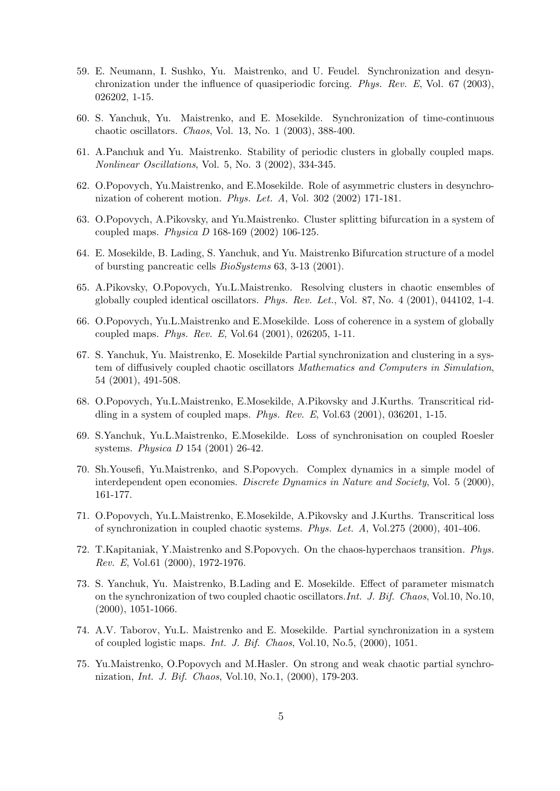- 59. E. Neumann, I. Sushko, Yu. Maistrenko, and U. Feudel. Synchronization and desynchronization under the influence of quasiperiodic forcing. Phys. Rev. E, Vol. 67 (2003), 026202, 1-15.
- 60. S. Yanchuk, Yu. Maistrenko, and E. Mosekilde. Synchronization of time-continuous chaotic oscillators. Chaos, Vol. 13, No. 1 (2003), 388-400.
- 61. A.Panchuk and Yu. Maistrenko. Stability of periodic clusters in globally coupled maps. Nonlinear Oscillations, Vol. 5, No. 3 (2002), 334-345.
- 62. O.Popovych, Yu.Maistrenko, and E.Mosekilde. Role of asymmetric clusters in desynchronization of coherent motion. Phys. Let. A, Vol. 302 (2002) 171-181.
- 63. O.Popovych, A.Pikovsky, and Yu.Maistrenko. Cluster splitting bifurcation in a system of coupled maps. Physica D 168-169 (2002) 106-125.
- 64. E. Mosekilde, B. Lading, S. Yanchuk, and Yu. Maistrenko Bifurcation structure of a model of bursting pancreatic cells BioSystems 63, 3-13 (2001).
- 65. A.Pikovsky, O.Popovych, Yu.L.Maistrenko. Resolving clusters in chaotic ensembles of globally coupled identical oscillators. Phys. Rev. Let., Vol. 87, No. 4 (2001), 044102, 1-4.
- 66. O.Popovych, Yu.L.Maistrenko and E.Mosekilde. Loss of coherence in a system of globally coupled maps. Phys. Rev. E, Vol.64 (2001), 026205, 1-11.
- 67. S. Yanchuk, Yu. Maistrenko, E. Mosekilde Partial synchronization and clustering in a system of diffusively coupled chaotic oscillators Mathematics and Computers in Simulation, 54 (2001), 491-508.
- 68. O.Popovych, Yu.L.Maistrenko, E.Mosekilde, A.Pikovsky and J.Kurths. Transcritical riddling in a system of coupled maps. Phys. Rev. E, Vol.63  $(2001)$ , 036201, 1-15.
- 69. S.Yanchuk, Yu.L.Maistrenko, E.Mosekilde. Loss of synchronisation on coupled Roesler systems. Physica D 154 (2001) 26-42.
- 70. Sh.Yousefi, Yu.Maistrenko, and S.Popovych. Complex dynamics in a simple model of interdependent open economies. Discrete Dynamics in Nature and Society, Vol. 5 (2000), 161-177.
- 71. O.Popovych, Yu.L.Maistrenko, E.Mosekilde, A.Pikovsky and J.Kurths. Transcritical loss of synchronization in coupled chaotic systems. Phys. Let. A, Vol.275 (2000), 401-406.
- 72. T.Kapitaniak, Y.Maistrenko and S.Popovych. On the chaos-hyperchaos transition. Phys. Rev. E, Vol.61 (2000), 1972-1976.
- 73. S. Yanchuk, Yu. Maistrenko, B.Lading and E. Mosekilde. Effect of parameter mismatch on the synchronization of two coupled chaotic oscillators.Int. J. Bif. Chaos, Vol.10, No.10, (2000), 1051-1066.
- 74. A.V. Taborov, Yu.L. Maistrenko and E. Mosekilde. Partial synchronization in a system of coupled logistic maps. Int. J. Bif. Chaos, Vol.10, No.5, (2000), 1051.
- 75. Yu.Maistrenko, O.Popovych and M.Hasler. On strong and weak chaotic partial synchronization, Int. J. Bif. Chaos, Vol.10, No.1, (2000), 179-203.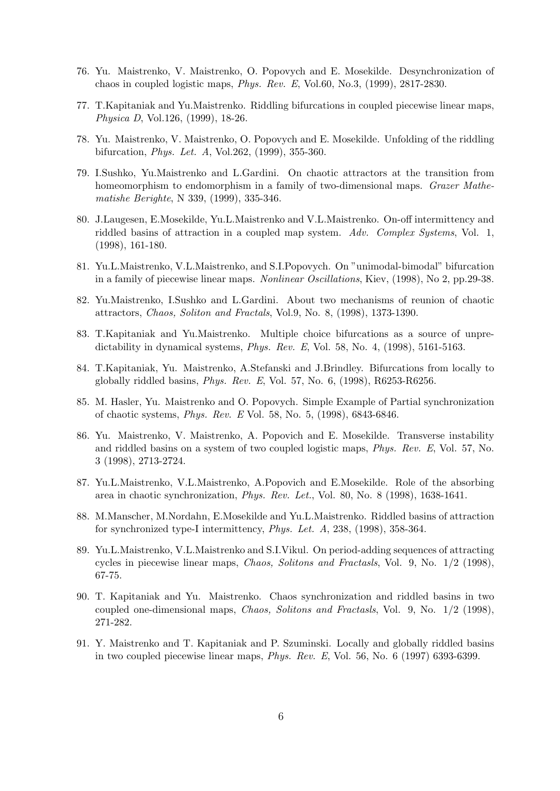- 76. Yu. Maistrenko, V. Maistrenko, O. Popovych and E. Mosekilde. Desynchronization of chaos in coupled logistic maps, Phys. Rev. E, Vol.60, No.3, (1999), 2817-2830.
- 77. T.Kapitaniak and Yu.Maistrenko. Riddling bifurcations in coupled piecewise linear maps, Physica D, Vol.126, (1999), 18-26.
- 78. Yu. Maistrenko, V. Maistrenko, O. Popovych and E. Mosekilde. Unfolding of the riddling bifurcation, Phys. Let. A, Vol.262, (1999), 355-360.
- 79. I.Sushko, Yu.Maistrenko and L.Gardini. On chaotic attractors at the transition from homeomorphism to endomorphism in a family of two-dimensional maps. *Grazer Mathe*matishe Berighte, N 339, (1999), 335-346.
- 80. J.Laugesen, E.Mosekilde, Yu.L.Maistrenko and V.L.Maistrenko. On-off intermittency and riddled basins of attraction in a coupled map system. Adv. Complex Systems, Vol. 1, (1998), 161-180.
- 81. Yu.L.Maistrenko, V.L.Maistrenko, and S.I.Popovych. On "unimodal-bimodal" bifurcation in a family of piecewise linear maps. Nonlinear Oscillations, Kiev, (1998), No 2, pp.29-38.
- 82. Yu.Maistrenko, I.Sushko and L.Gardini. About two mechanisms of reunion of chaotic attractors, Chaos, Soliton and Fractals, Vol.9, No. 8, (1998), 1373-1390.
- 83. T.Kapitaniak and Yu.Maistrenko. Multiple choice bifurcations as a source of unpredictability in dynamical systems,  $Phys. Rev. E$ , Vol. 58, No. 4, (1998), 5161-5163.
- 84. T.Kapitaniak, Yu. Maistrenko, A.Stefanski and J.Brindley. Bifurcations from locally to globally riddled basins, Phys. Rev. E, Vol. 57, No. 6, (1998), R6253-R6256.
- 85. M. Hasler, Yu. Maistrenko and O. Popovych. Simple Example of Partial synchronization of chaotic systems, Phys. Rev. E Vol. 58, No. 5, (1998), 6843-6846.
- 86. Yu. Maistrenko, V. Maistrenko, A. Popovich and E. Mosekilde. Transverse instability and riddled basins on a system of two coupled logistic maps, Phys. Rev. E, Vol. 57, No. 3 (1998), 2713-2724.
- 87. Yu.L.Maistrenko, V.L.Maistrenko, A.Popovich and E.Mosekilde. Role of the absorbing area in chaotic synchronization, Phys. Rev. Let., Vol. 80, No. 8 (1998), 1638-1641.
- 88. M.Manscher, M.Nordahn, E.Mosekilde and Yu.L.Maistrenko. Riddled basins of attraction for synchronized type-I intermittency, Phys. Let. A, 238, (1998), 358-364.
- 89. Yu.L.Maistrenko, V.L.Maistrenko and S.I.Vikul. On period-adding sequences of attracting cycles in piecewise linear maps, Chaos, Solitons and Fractasls, Vol. 9, No. 1/2 (1998), 67-75.
- 90. T. Kapitaniak and Yu. Maistrenko. Chaos synchronization and riddled basins in two coupled one-dimensional maps, Chaos, Solitons and Fractasls, Vol. 9, No. 1/2 (1998), 271-282.
- 91. Y. Maistrenko and T. Kapitaniak and P. Szuminski. Locally and globally riddled basins in two coupled piecewise linear maps, Phys. Rev. E, Vol. 56, No. 6 (1997) 6393-6399.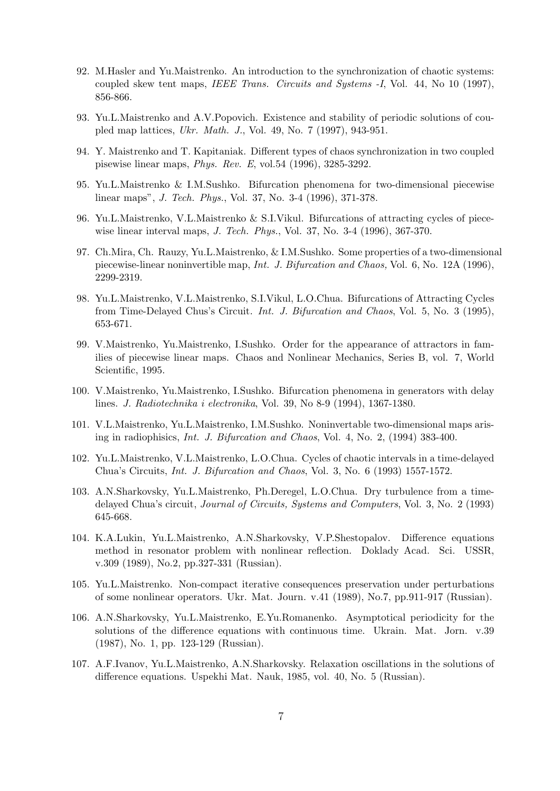- 92. M.Hasler and Yu.Maistrenko. An introduction to the synchronization of chaotic systems: coupled skew tent maps, IEEE Trans. Circuits and Systems -I, Vol. 44, No 10 (1997), 856-866.
- 93. Yu.L.Maistrenko and A.V.Popovich. Existence and stability of periodic solutions of coupled map lattices, Ukr. Math. J., Vol. 49, No. 7 (1997), 943-951.
- 94. Y. Maistrenko and T. Kapitaniak. Different types of chaos synchronization in two coupled pisewise linear maps, Phys. Rev. E, vol.54 (1996), 3285-3292.
- 95. Yu.L.Maistrenko & I.M.Sushko. Bifurcation phenomena for two-dimensional piecewise linear maps", J. Tech. Phys., Vol. 37, No. 3-4 (1996), 371-378.
- 96. Yu.L.Maistrenko, V.L.Maistrenko & S.I.Vikul. Bifurcations of attracting cycles of piecewise linear interval maps, J. Tech. Phys., Vol. 37, No. 3-4 (1996), 367-370.
- 97. Ch.Mira, Ch. Rauzy, Yu.L.Maistrenko, & I.M.Sushko. Some properties of a two-dimensional piecewise-linear noninvertible map, Int. J. Bifurcation and Chaos, Vol. 6, No. 12A (1996), 2299-2319.
- 98. Yu.L.Maistrenko, V.L.Maistrenko, S.I.Vikul, L.O.Chua. Bifurcations of Attracting Cycles from Time-Delayed Chus's Circuit. Int. J. Bifurcation and Chaos, Vol. 5, No. 3 (1995), 653-671.
- 99. V.Maistrenko, Yu.Maistrenko, I.Sushko. Order for the appearance of attractors in families of piecewise linear maps. Chaos and Nonlinear Mechanics, Series B, vol. 7, World Scientific, 1995.
- 100. V.Maistrenko, Yu.Maistrenko, I.Sushko. Bifurcation phenomena in generators with delay lines. J. Radiotechnika i electronika, Vol. 39, No 8-9 (1994), 1367-1380.
- 101. V.L.Maistrenko, Yu.L.Maistrenko, I.M.Sushko. Noninvertable two-dimensional maps arising in radiophisics, Int. J. Bifurcation and Chaos, Vol. 4, No. 2, (1994) 383-400.
- 102. Yu.L.Maistrenko, V.L.Maistrenko, L.O.Chua. Cycles of chaotic intervals in a time-delayed Chua's Circuits, Int. J. Bifurcation and Chaos, Vol. 3, No. 6 (1993) 1557-1572.
- 103. A.N.Sharkovsky, Yu.L.Maistrenko, Ph.Deregel, L.O.Chua. Dry turbulence from a timedelayed Chua's circuit, Journal of Circuits, Systems and Computers, Vol. 3, No. 2 (1993) 645-668.
- 104. K.A.Lukin, Yu.L.Maistrenko, A.N.Sharkovsky, V.P.Shestopalov. Difference equations method in resonator problem with nonlinear reflection. Doklady Acad. Sci. USSR, v.309 (1989), No.2, pp.327-331 (Russian).
- 105. Yu.L.Maistrenko. Non-compact iterative consequences preservation under perturbations of some nonlinear operators. Ukr. Mat. Journ. v.41 (1989), No.7, pp.911-917 (Russian).
- 106. A.N.Sharkovsky, Yu.L.Maistrenko, E.Yu.Romanenko. Asymptotical periodicity for the solutions of the difference equations with continuous time. Ukrain. Mat. Jorn. v.39 (1987), No. 1, pp. 123-129 (Russian).
- 107. A.F.Ivanov, Yu.L.Maistrenko, A.N.Sharkovsky. Relaxation oscillations in the solutions of difference equations. Uspekhi Mat. Nauk, 1985, vol. 40, No. 5 (Russian).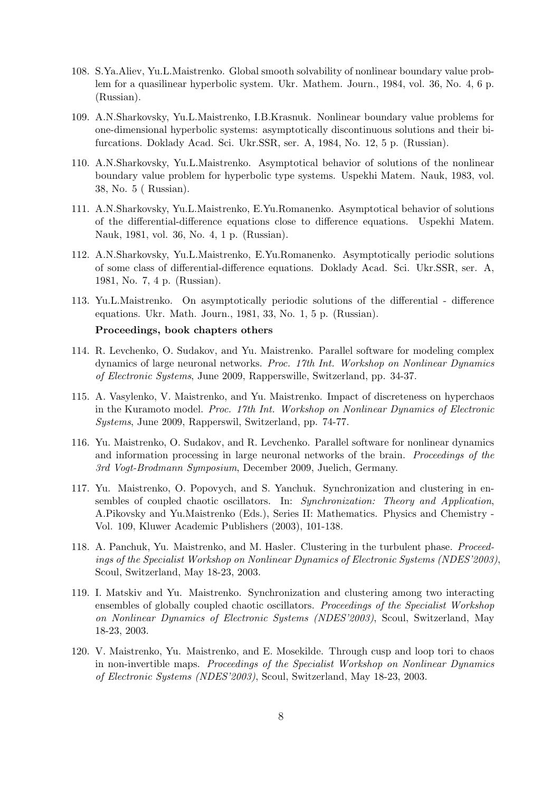- 108. S.Ya.Aliev, Yu.L.Maistrenko. Global smooth solvability of nonlinear boundary value problem for a quasilinear hyperbolic system. Ukr. Mathem. Journ., 1984, vol. 36, No. 4, 6 p. (Russian).
- 109. A.N.Sharkovsky, Yu.L.Maistrenko, I.B.Krasnuk. Nonlinear boundary value problems for one-dimensional hyperbolic systems: asymptotically discontinuous solutions and their bifurcations. Doklady Acad. Sci. Ukr.SSR, ser. A, 1984, No. 12, 5 p. (Russian).
- 110. A.N.Sharkovsky, Yu.L.Maistrenko. Asymptotical behavior of solutions of the nonlinear boundary value problem for hyperbolic type systems. Uspekhi Matem. Nauk, 1983, vol. 38, No. 5 ( Russian).
- 111. A.N.Sharkovsky, Yu.L.Maistrenko, E.Yu.Romanenko. Asymptotical behavior of solutions of the differential-difference equations close to difference equations. Uspekhi Matem. Nauk, 1981, vol. 36, No. 4, 1 p. (Russian).
- 112. A.N.Sharkovsky, Yu.L.Maistrenko, E.Yu.Romanenko. Asymptotically periodic solutions of some class of differential-difference equations. Doklady Acad. Sci. Ukr.SSR, ser. A, 1981, No. 7, 4 p. (Russian).
- 113. Yu.L.Maistrenko. On asymptotically periodic solutions of the differential difference equations. Ukr. Math. Journ., 1981, 33, No. 1, 5 p. (Russian).

#### Proceedings, book chapters others

- 114. R. Levchenko, O. Sudakov, and Yu. Maistrenko. Parallel software for modeling complex dynamics of large neuronal networks. Proc. 17th Int. Workshop on Nonlinear Dynamics of Electronic Systems, June 2009, Rapperswille, Switzerland, pp. 34-37.
- 115. A. Vasylenko, V. Maistrenko, and Yu. Maistrenko. Impact of discreteness on hyperchaos in the Kuramoto model. Proc. 17th Int. Workshop on Nonlinear Dynamics of Electronic Systems, June 2009, Rapperswil, Switzerland, pp. 74-77.
- 116. Yu. Maistrenko, O. Sudakov, and R. Levchenko. Parallel software for nonlinear dynamics and information processing in large neuronal networks of the brain. *Proceedings of the* 3rd Vogt-Brodmann Symposium, December 2009, Juelich, Germany.
- 117. Yu. Maistrenko, O. Popovych, and S. Yanchuk. Synchronization and clustering in ensembles of coupled chaotic oscillators. In: Synchronization: Theory and Application, A.Pikovsky and Yu.Maistrenko (Eds.), Series II: Mathematics. Physics and Chemistry - Vol. 109, Kluwer Academic Publishers (2003), 101-138.
- 118. A. Panchuk, Yu. Maistrenko, and M. Hasler. Clustering in the turbulent phase. Proceedings of the Specialist Workshop on Nonlinear Dynamics of Electronic Systems (NDES'2003), Scoul, Switzerland, May 18-23, 2003.
- 119. I. Matskiv and Yu. Maistrenko. Synchronization and clustering among two interacting ensembles of globally coupled chaotic oscillators. Proceedings of the Specialist Workshop on Nonlinear Dynamics of Electronic Systems (NDES'2003), Scoul, Switzerland, May 18-23, 2003.
- 120. V. Maistrenko, Yu. Maistrenko, and E. Mosekilde. Through cusp and loop tori to chaos in non-invertible maps. Proceedings of the Specialist Workshop on Nonlinear Dynamics of Electronic Systems (NDES'2003), Scoul, Switzerland, May 18-23, 2003.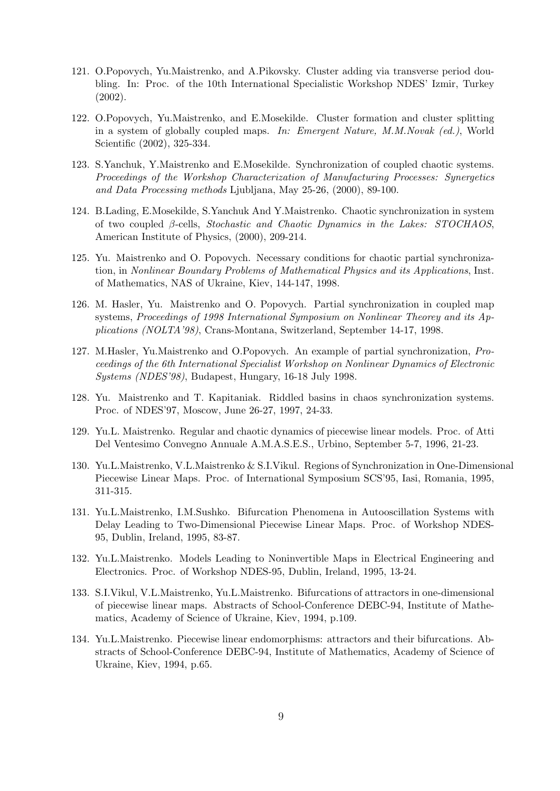- 121. O.Popovych, Yu.Maistrenko, and A.Pikovsky. Cluster adding via transverse period doubling. In: Proc. of the 10th International Specialistic Workshop NDES' Izmir, Turkey (2002).
- 122. O.Popovych, Yu.Maistrenko, and E.Mosekilde. Cluster formation and cluster splitting in a system of globally coupled maps. In: Emergent Nature, M.M.Novak (ed.), World Scientific (2002), 325-334.
- 123. S.Yanchuk, Y.Maistrenko and E.Mosekilde. Synchronization of coupled chaotic systems. Proceedings of the Workshop Characterization of Manufacturing Processes: Synergetics and Data Processing methods Ljubljana, May 25-26, (2000), 89-100.
- 124. B.Lading, E.Mosekilde, S.Yanchuk And Y.Maistrenko. Chaotic synchronization in system of two coupled β-cells, Stochastic and Chaotic Dynamics in the Lakes: STOCHAOS, American Institute of Physics, (2000), 209-214.
- 125. Yu. Maistrenko and O. Popovych. Necessary conditions for chaotic partial synchronization, in Nonlinear Boundary Problems of Mathematical Physics and its Applications, Inst. of Mathematics, NAS of Ukraine, Kiev, 144-147, 1998.
- 126. M. Hasler, Yu. Maistrenko and O. Popovych. Partial synchronization in coupled map systems, Proceedings of 1998 International Symposium on Nonlinear Theorey and its Applications (NOLTA'98), Crans-Montana, Switzerland, September 14-17, 1998.
- 127. M.Hasler, Yu.Maistrenko and O.Popovych. An example of partial synchronization, Proceedings of the 6th International Specialist Workshop on Nonlinear Dynamics of Electronic Systems (NDES'98), Budapest, Hungary, 16-18 July 1998.
- 128. Yu. Maistrenko and T. Kapitaniak. Riddled basins in chaos synchronization systems. Proc. of NDES'97, Moscow, June 26-27, 1997, 24-33.
- 129. Yu.L. Maistrenko. Regular and chaotic dynamics of piecewise linear models. Proc. of Atti Del Ventesimo Convegno Annuale A.M.A.S.E.S., Urbino, September 5-7, 1996, 21-23.
- 130. Yu.L.Maistrenko, V.L.Maistrenko & S.I.Vikul. Regions of Synchronization in One-Dimensional Piecewise Linear Maps. Proc. of International Symposium SCS'95, Iasi, Romania, 1995, 311-315.
- 131. Yu.L.Maistrenko, I.M.Sushko. Bifurcation Phenomena in Autooscillation Systems with Delay Leading to Two-Dimensional Piecewise Linear Maps. Proc. of Workshop NDES-95, Dublin, Ireland, 1995, 83-87.
- 132. Yu.L.Maistrenko. Models Leading to Noninvertible Maps in Electrical Engineering and Electronics. Proc. of Workshop NDES-95, Dublin, Ireland, 1995, 13-24.
- 133. S.I.Vikul, V.L.Maistrenko, Yu.L.Maistrenko. Bifurcations of attractors in one-dimensional of piecewise linear maps. Abstracts of School-Conference DEBC-94, Institute of Mathematics, Academy of Science of Ukraine, Kiev, 1994, p.109.
- 134. Yu.L.Maistrenko. Piecewise linear endomorphisms: attractors and their bifurcations. Abstracts of School-Conference DEBC-94, Institute of Mathematics, Academy of Science of Ukraine, Kiev, 1994, p.65.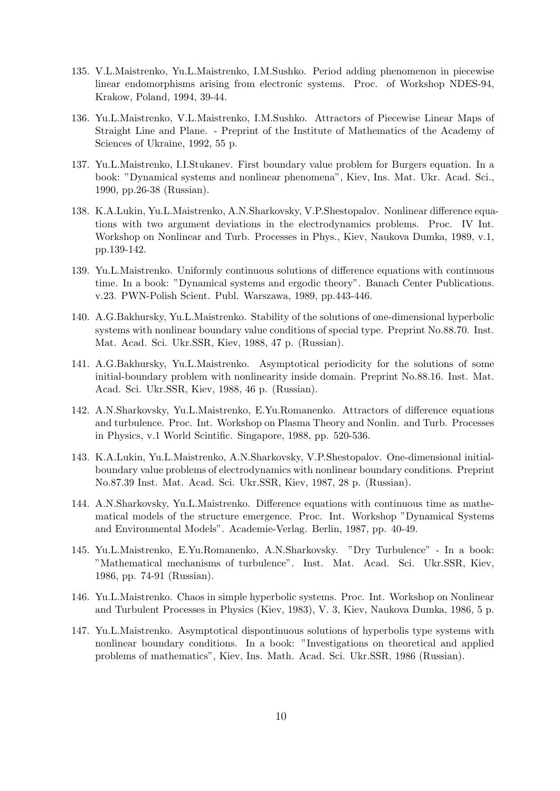- 135. V.L.Maistrenko, Yu.L.Maistrenko, I.M.Sushko. Period adding phenomenon in piecewise linear endomorphisms arising from electronic systems. Proc. of Workshop NDES-94, Krakow, Poland, 1994, 39-44.
- 136. Yu.L.Maistrenko, V.L.Maistrenko, I.M.Sushko. Attractors of Piecewise Linear Maps of Straight Line and Plane. - Preprint of the Institute of Mathematics of the Academy of Sciences of Ukraine, 1992, 55 p.
- 137. Yu.L.Maistrenko, I.I.Stukanev. First boundary value problem for Burgers equation. In a book: "Dynamical systems and nonlinear phenomena", Kiev, Ins. Mat. Ukr. Acad. Sci., 1990, pp.26-38 (Russian).
- 138. K.A.Lukin, Yu.L.Maistrenko, A.N.Sharkovsky, V.P.Shestopalov. Nonlinear difference equations with two argument deviations in the electrodynamics problems. Proc. IV Int. Workshop on Nonlinear and Turb. Processes in Phys., Kiev, Naukova Dumka, 1989, v.1, pp.139-142.
- 139. Yu.L.Maistrenko. Uniformly continuous solutions of difference equations with continuous time. In a book: "Dynamical systems and ergodic theory". Banach Center Publications. v.23. PWN-Polish Scient. Publ. Warszawa, 1989, pp.443-446.
- 140. A.G.Bakhursky, Yu.L.Maistrenko. Stability of the solutions of one-dimensional hyperbolic systems with nonlinear boundary value conditions of special type. Preprint No.88.70. Inst. Mat. Acad. Sci. Ukr.SSR, Kiev, 1988, 47 p. (Russian).
- 141. A.G.Bakhursky, Yu.L.Maistrenko. Asymptotical periodicity for the solutions of some initial-boundary problem with nonlinearity inside domain. Preprint No.88.16. Inst. Mat. Acad. Sci. Ukr.SSR, Kiev, 1988, 46 p. (Russian).
- 142. A.N.Sharkovsky, Yu.L.Maistrenko, E.Yu.Romanenko. Attractors of difference equations and turbulence. Proc. Int. Workshop on Plasma Theory and Nonlin. and Turb. Processes in Physics, v.1 World Scintific. Singapore, 1988, pp. 520-536.
- 143. K.A.Lukin, Yu.L.Maistrenko, A.N.Sharkovsky, V.P.Shestopalov. One-dimensional initialboundary value problems of electrodynamics with nonlinear boundary conditions. Preprint No.87.39 Inst. Mat. Acad. Sci. Ukr.SSR, Kiev, 1987, 28 p. (Russian).
- 144. A.N.Sharkovsky, Yu.L.Maistrenko. Difference equations with continuous time as mathematical models of the structure emergence. Proc. Int. Workshop "Dynamical Systems and Environmental Models". Academie-Verlag. Berlin, 1987, pp. 40-49.
- 145. Yu.L.Maistrenko, E.Yu.Romanenko, A.N.Sharkovsky. "Dry Turbulence" In a book: "Mathematical mechanisms of turbulence". Inst. Mat. Acad. Sci. Ukr.SSR, Kiev, 1986, pp. 74-91 (Russian).
- 146. Yu.L.Maistrenko. Chaos in simple hyperbolic systems. Proc. Int. Workshop on Nonlinear and Turbulent Processes in Physics (Kiev, 1983), V. 3, Kiev, Naukova Dumka, 1986, 5 p.
- 147. Yu.L.Maistrenko. Asymptotical dispontinuous solutions of hyperbolis type systems with nonlinear boundary conditions. In a book: "Investigations on theoretical and applied problems of mathematics", Kiev, Ins. Math. Acad. Sci. Ukr.SSR, 1986 (Russian).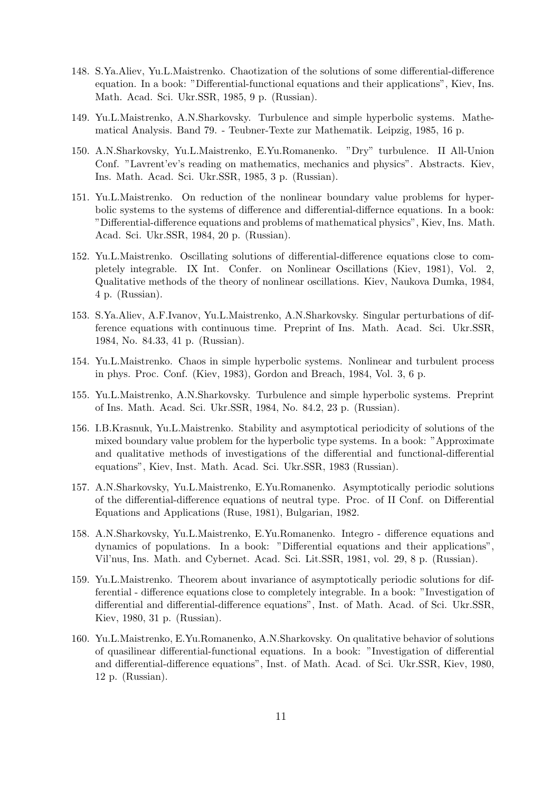- 148. S.Ya.Aliev, Yu.L.Maistrenko. Chaotization of the solutions of some differential-difference equation. In a book: "Differential-functional equations and their applications", Kiev, Ins. Math. Acad. Sci. Ukr.SSR, 1985, 9 p. (Russian).
- 149. Yu.L.Maistrenko, A.N.Sharkovsky. Turbulence and simple hyperbolic systems. Mathematical Analysis. Band 79. - Teubner-Texte zur Mathematik. Leipzig, 1985, 16 p.
- 150. A.N.Sharkovsky, Yu.L.Maistrenko, E.Yu.Romanenko. "Dry" turbulence. II All-Union Conf. "Lavrent'ev's reading on mathematics, mechanics and physics". Abstracts. Kiev, Ins. Math. Acad. Sci. Ukr.SSR, 1985, 3 p. (Russian).
- 151. Yu.L.Maistrenko. On reduction of the nonlinear boundary value problems for hyperbolic systems to the systems of difference and differential-differnce equations. In a book: "Differential-difference equations and problems of mathematical physics", Kiev, Ins. Math. Acad. Sci. Ukr.SSR, 1984, 20 p. (Russian).
- 152. Yu.L.Maistrenko. Oscillating solutions of differential-difference equations close to completely integrable. IX Int. Confer. on Nonlinear Oscillations (Kiev, 1981), Vol. 2, Qualitative methods of the theory of nonlinear oscillations. Kiev, Naukova Dumka, 1984, 4 p. (Russian).
- 153. S.Ya.Aliev, A.F.Ivanov, Yu.L.Maistrenko, A.N.Sharkovsky. Singular perturbations of difference equations with continuous time. Preprint of Ins. Math. Acad. Sci. Ukr.SSR, 1984, No. 84.33, 41 p. (Russian).
- 154. Yu.L.Maistrenko. Chaos in simple hyperbolic systems. Nonlinear and turbulent process in phys. Proc. Conf. (Kiev, 1983), Gordon and Breach, 1984, Vol. 3, 6 p.
- 155. Yu.L.Maistrenko, A.N.Sharkovsky. Turbulence and simple hyperbolic systems. Preprint of Ins. Math. Acad. Sci. Ukr.SSR, 1984, No. 84.2, 23 p. (Russian).
- 156. I.B.Krasnuk, Yu.L.Maistrenko. Stability and asymptotical periodicity of solutions of the mixed boundary value problem for the hyperbolic type systems. In a book: "Approximate and qualitative methods of investigations of the differential and functional-differential equations", Kiev, Inst. Math. Acad. Sci. Ukr.SSR, 1983 (Russian).
- 157. A.N.Sharkovsky, Yu.L.Maistrenko, E.Yu.Romanenko. Asymptotically periodic solutions of the differential-difference equations of neutral type. Proc. of II Conf. on Differential Equations and Applications (Ruse, 1981), Bulgarian, 1982.
- 158. A.N.Sharkovsky, Yu.L.Maistrenko, E.Yu.Romanenko. Integro difference equations and dynamics of populations. In a book: "Differential equations and their applications", Vil'nus, Ins. Math. and Cybernet. Acad. Sci. Lit.SSR, 1981, vol. 29, 8 p. (Russian).
- 159. Yu.L.Maistrenko. Theorem about invariance of asymptotically periodic solutions for differential - difference equations close to completely integrable. In a book: "Investigation of differential and differential-difference equations", Inst. of Math. Acad. of Sci. Ukr.SSR, Kiev, 1980, 31 p. (Russian).
- 160. Yu.L.Maistrenko, E.Yu.Romanenko, A.N.Sharkovsky. On qualitative behavior of solutions of quasilinear differential-functional equations. In a book: "Investigation of differential and differential-difference equations", Inst. of Math. Acad. of Sci. Ukr.SSR, Kiev, 1980, 12 p. (Russian).